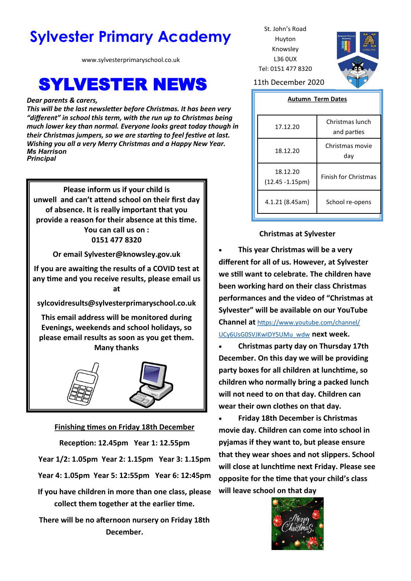# **Sylvester Primary Academy** St. John's Road

www.sylvesterprimaryschool.co.uk

## **SYLVESTER NEWS** 11th December 2020

#### *Dear parents & carers,*

*This will be the last newsletter before Christmas. It has been very "different" in school this term, with the run up to Christmas being much lower key than normal. Everyone looks great today though in their Christmas jumpers, so we are starting to feel festive at last. Wishing you all a very Merry Christmas and a Happy New Year. Ms Harrison Principal*

**Please inform us if your child is unwell and can't attend school on their first day of absence. It is really important that you provide a reason for their absence at this time. You can call us on : 0151 477 8320**

**Or email Sylvester@knowsley.gov.uk**

**If you are awaiting the results of a COVID test at any time and you receive results, please email us at** 

**sylcovidresults@sylvesterprimaryschool.co.uk**

**This email address will be monitored during Evenings, weekends and school holidays, so please email results as soon as you get them. Many thanks**



### **Finishing times on Friday 18th December**

**Reception: 12.45pm Year 1: 12.55pm Year 1/2: 1.05pm Year 2: 1.15pm Year 3: 1.15pm Year 4: 1.05pm Year 5: 12:55pm Year 6: 12:45pm If you have children in more than one class, please collect them together at the earlier time.**

**There will be no afternoon nursery on Friday 18th December.**

Huyton Knowsley L36 0UX Tel: 0151 477 8320



### **Autumn Term Dates**

| 17.12.20                       | Christmas lunch<br>and parties |
|--------------------------------|--------------------------------|
| 18.12.20                       | Christmas movie<br>day         |
| 18.12.20<br>$(12.45 - 1.15pm)$ | <b>Finish for Christmas</b>    |
| 4.1.21 (8.45am)                | School re-opens                |
|                                |                                |

### **Christmas at Sylvester**

• **This year Christmas will be a very different for all of us. However, at Sylvester we still want to celebrate. The children have been working hard on their class Christmas performances and the video of "Christmas at Sylvester" will be available on our YouTube Channel at** [https://www.youtube.com/channel/](https://www.youtube.com/channel/UCy6UsG0SVJKwIDY5UMu_wdw) [UCy6UsG0SVJKwIDY5UMu\\_wdw](https://www.youtube.com/channel/UCy6UsG0SVJKwIDY5UMu_wdw) **next week.**

• **Christmas party day on Thursday 17th December. On this day we will be providing party boxes for all children at lunchtime, so children who normally bring a packed lunch will not need to on that day. Children can wear their own clothes on that day.**

• **Friday 18th December is Christmas movie day. Children can come into school in pyjamas if they want to, but please ensure that they wear shoes and not slippers. School will close at lunchtime next Friday. Please see opposite for the time that your child's class will leave school on that day**